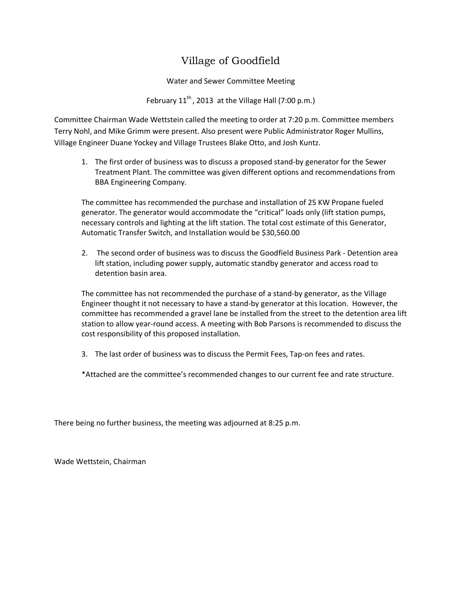## Village of Goodfield

Water and Sewer Committee Meeting

February  $11^{th}$ , 2013 at the Village Hall (7:00 p.m.)

Committee Chairman Wade Wettstein called the meeting to order at 7:20 p.m. Committee members Terry Nohl, and Mike Grimm were present. Also present were Public Administrator Roger Mullins, Village Engineer Duane Yockey and Village Trustees Blake Otto, and Josh Kuntz.

1. The first order of business was to discuss a proposed stand-by generator for the Sewer Treatment Plant. The committee was given different options and recommendations from BBA Engineering Company.

The committee has recommended the purchase and installation of 25 KW Propane fueled generator. The generator would accommodate the "critical" loads only (lift station pumps, necessary controls and lighting at the lift station. The total cost estimate of this Generator, Automatic Transfer Switch, and Installation would be \$30,560.00

2. The second order of business was to discuss the Goodfield Business Park - Detention area lift station, including power supply, automatic standby generator and access road to detention basin area.

The committee has not recommended the purchase of a stand-by generator, as the Village Engineer thought it not necessary to have a stand-by generator at this location. However, the committee has recommended a gravel lane be installed from the street to the detention area lift station to allow year-round access. A meeting with Bob Parsons is recommended to discuss the cost responsibility of this proposed installation.

3. The last order of business was to discuss the Permit Fees, Tap-on fees and rates.

\*Attached are the committee's recommended changes to our current fee and rate structure.

There being no further business, the meeting was adjourned at 8:25 p.m.

Wade Wettstein, Chairman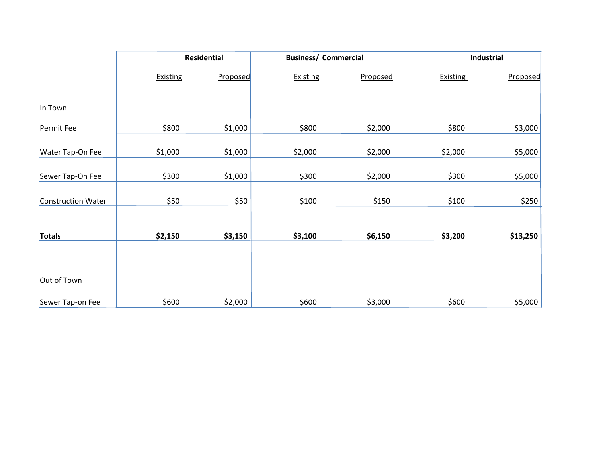|                           | <b>Residential</b> |          | <b>Business/ Commercial</b> |          | Industrial      |          |
|---------------------------|--------------------|----------|-----------------------------|----------|-----------------|----------|
|                           | <b>Existing</b>    | Proposed | <b>Existing</b>             | Proposed | <b>Existing</b> | Proposed |
| In Town                   |                    |          |                             |          |                 |          |
| Permit Fee                | \$800              | \$1,000  | \$800                       | \$2,000  | \$800           | \$3,000  |
| Water Tap-On Fee          | \$1,000            | \$1,000  | \$2,000                     | \$2,000  | \$2,000         | \$5,000  |
| Sewer Tap-On Fee          | \$300              | \$1,000  | \$300                       | \$2,000  | \$300           | \$5,000  |
| <b>Construction Water</b> | \$50               | \$50     | \$100                       | \$150    | \$100           | \$250    |
| <b>Totals</b>             | \$2,150            | \$3,150  | \$3,100                     | \$6,150  | \$3,200         | \$13,250 |
| Out of Town               |                    |          |                             |          |                 |          |
| Sewer Tap-on Fee          | \$600              | \$2,000  | \$600                       | \$3,000  | \$600           | \$5,000  |